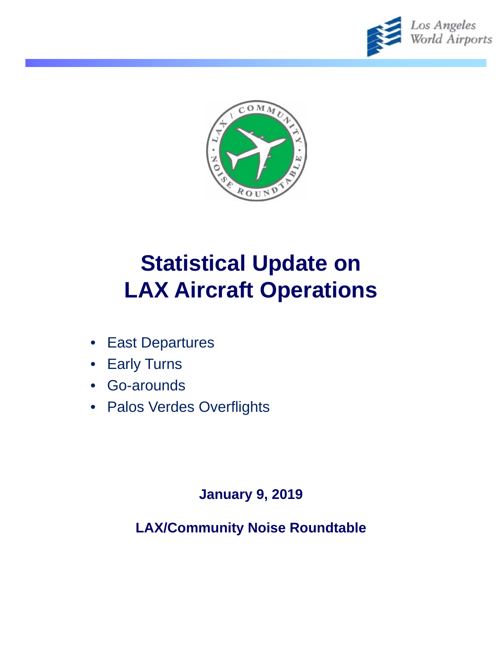



# **Statistical Update on LAX Aircraft Operations**

- East Departures
- **Early Turns**
- Go-arounds
- Palos Verdes Overflights

### **January 9, 2019**

**LAX/Community Noise Roundtable**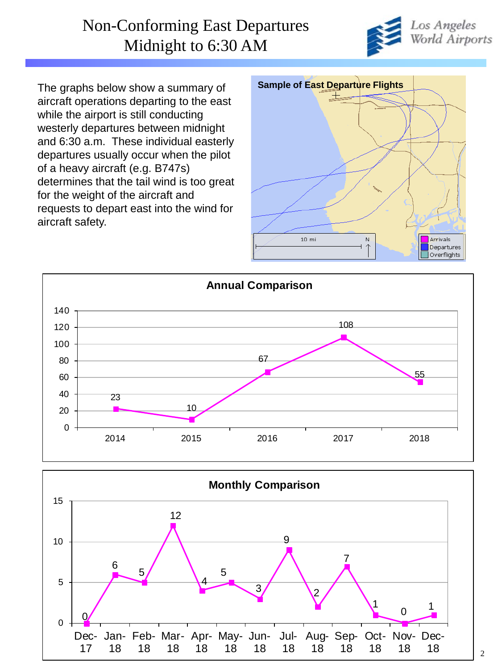#### Non-Conforming East Departures Midnight to 6:30 AM



The graphs below show a summary of aircraft operations departing to the east while the airport is still conducting westerly departures between midnight and 6:30 a.m. These individual easterly departures usually occur when the pilot of a heavy aircraft (e.g. B747s) determines that the tail wind is too great for the weight of the aircraft and requests to depart east into the wind for aircraft safety.





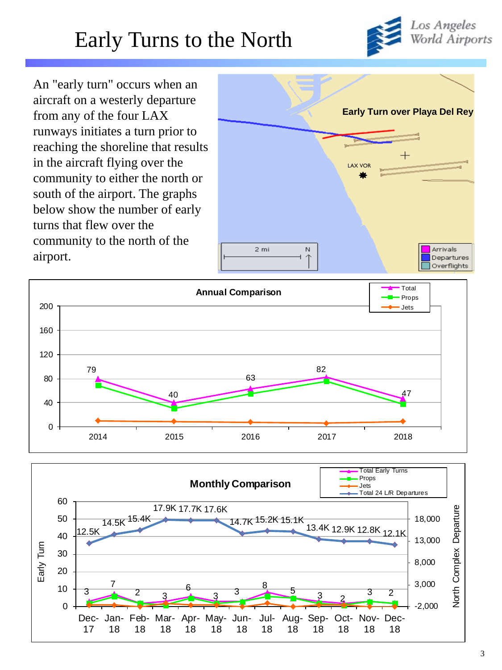## Early Turns to the North



An "early turn" occurs when an aircraft on a westerly departure from any of the four LAX runways initiates a turn prior to reaching the shoreline that results in the aircraft flying over the community to either the north or south of the airport. The graphs below show the number of early turns that flew over the community to the north of the airport.





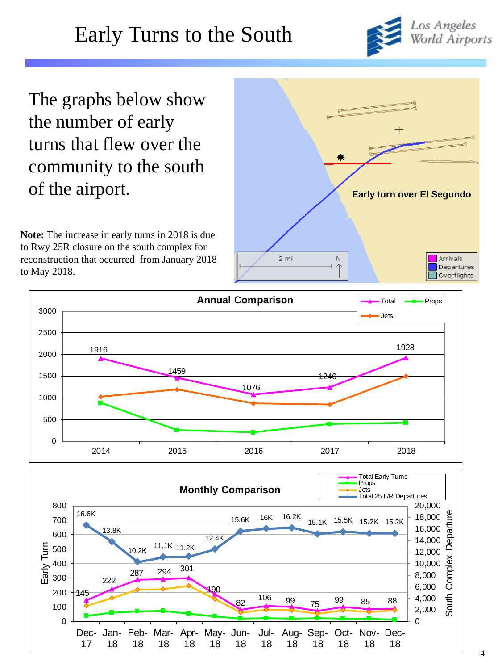

The graphs below show the number of early turns that flew over the community to the south of the airport.

**Note:** The increase in early turns in 2018 is due to Rwy 25R closure on the south complex for reconstruction that occurred from January 2018 to May 2018.





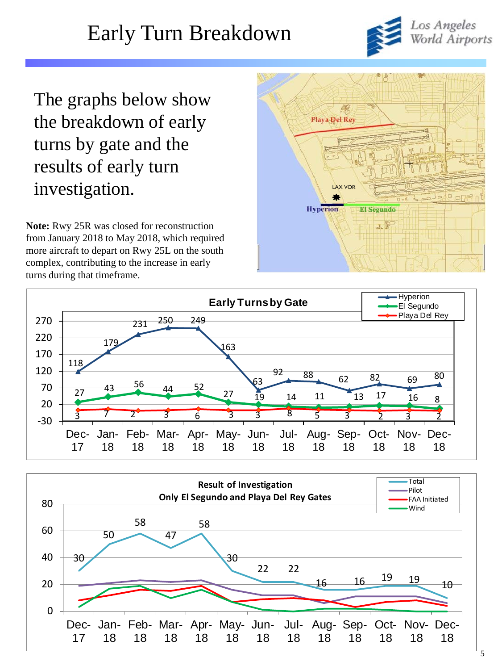## Early Turn Breakdown



The graphs below show the breakdown of early turns by gate and the results of early turn investigation.

**Note:** Rwy 25R was closed for reconstruction from January 2018 to May 2018, which required more aircraft to depart on Rwy 25L on the south complex, contributing to the increase in early turns during that timeframe.





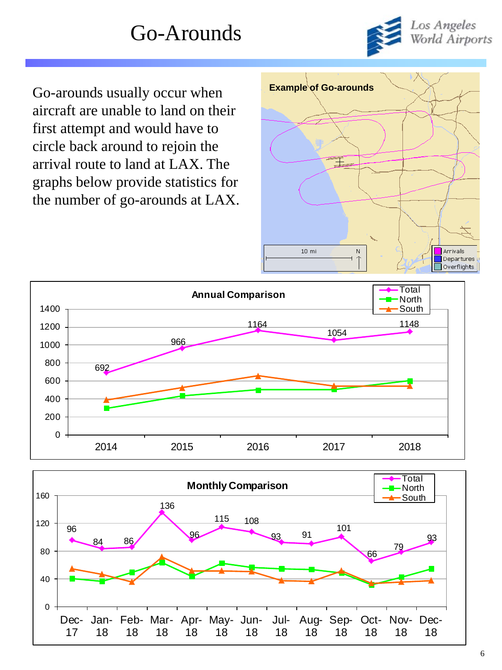

Go-arounds usually occur when **Example of Go-arounds** aircraft are unable to land on their first attempt and would have to circle back around to rejoin the arrival route to land at LAX. The graphs below provide statistics for the number of go-arounds at LAX.





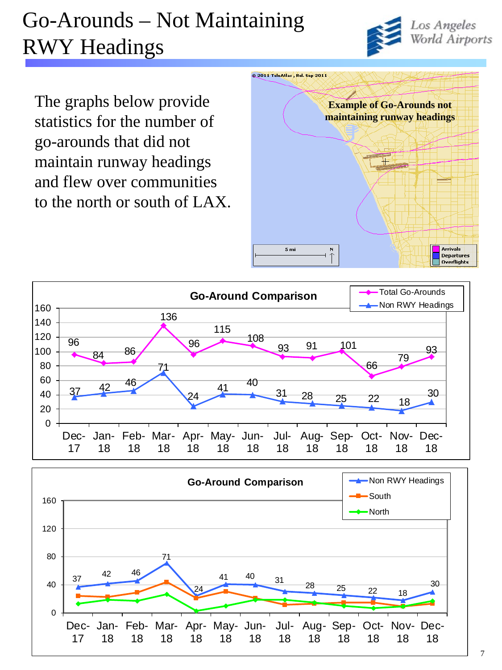# Go-Arounds – Not Maintaining RWY Headings



The graphs below provide statistics for the number of go-arounds that did not maintain runway headings and flew over communities to the north or south of LAX.





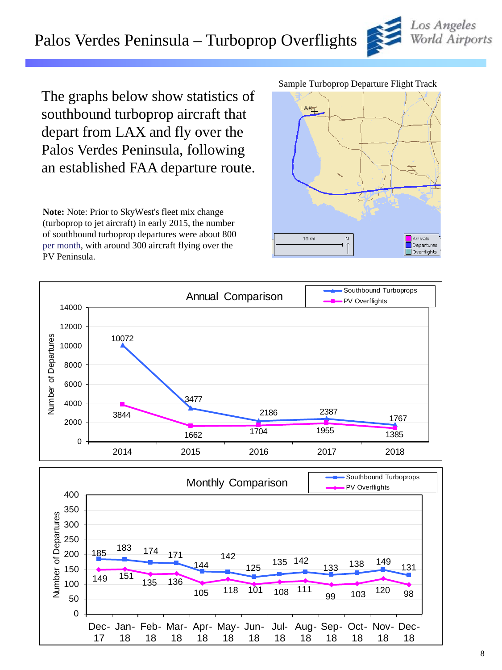### Palos Verdes Peninsula – Turboprop Overflights

The graphs below show statistics of southbound turboprop aircraft that depart from LAX and fly over the Palos Verdes Peninsula, following an established FAA departure route.

**Note:** Note: Prior to SkyWest's fleet mix change (turboprop to jet aircraft) in early 2015, the number of southbound turboprop departures were about 800 per month, with around 300 aircraft flying over the PV Peninsula.

#### Sample Turboprop Departure Flight Track







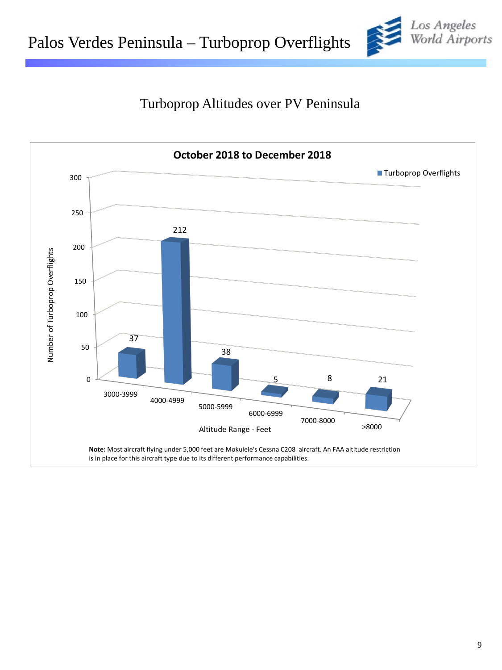

#### Turboprop Altitudes over PV Peninsula

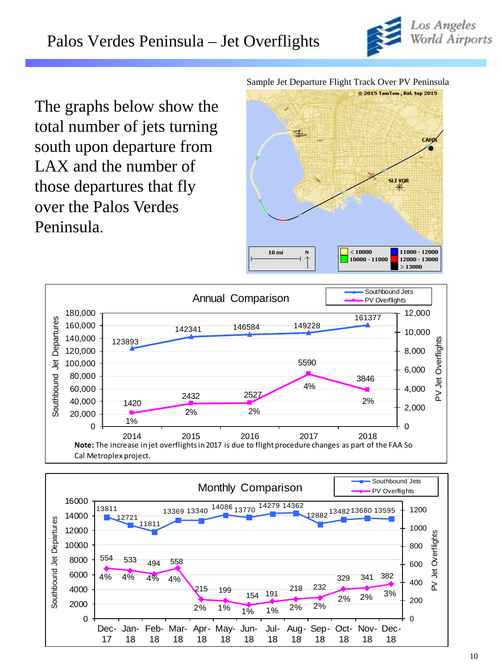

The graphs below show the total number of jets turning south upon departure from LAX and the number of those departures that fly over the Palos Verdes Peninsula.

Sample Jet Departure Flight Track Over PV Peninsula